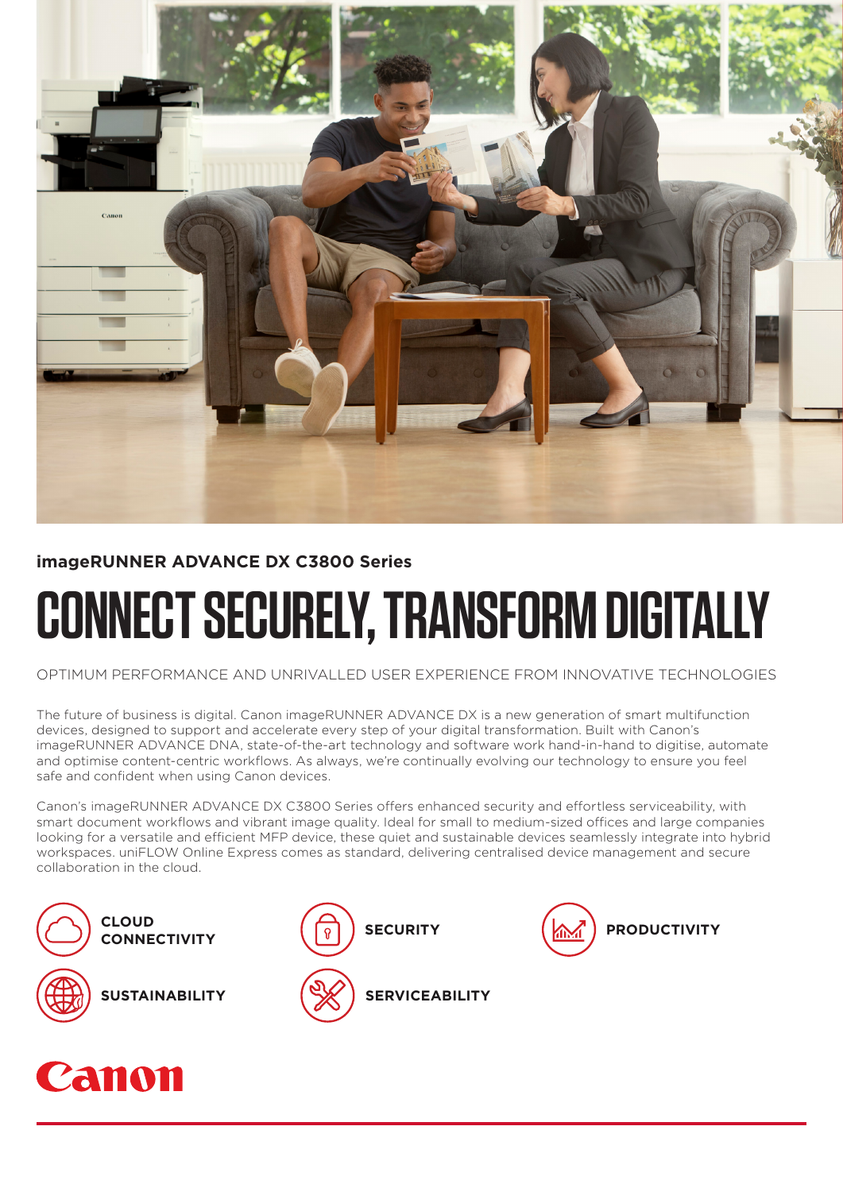

# **imageRUNNER ADVANCE DX C3800 Series**

# **CONNECT SECURELY, TRANSFORM DIGITALLY**

OPTIMUM PERFORMANCE AND UNRIVALLED USER EXPERIENCE FROM INNOVATIVE TECHNOLOGIES

The future of business is digital. Canon imageRUNNER ADVANCE DX is a new generation of smart multifunction devices, designed to support and accelerate every step of your digital transformation. Built with Canon's imageRUNNER ADVANCE DNA, state-of-the-art technology and software work hand-in-hand to digitise, automate and optimise content-centric workflows. As always, we're continually evolving our technology to ensure you feel safe and confident when using Canon devices.

Canon's imageRUNNER ADVANCE DX C3800 Series offers enhanced security and effortless serviceability, with smart document workflows and vibrant image quality. Ideal for small to medium-sized offices and large companies looking for a versatile and efficient MFP device, these quiet and sustainable devices seamlessly integrate into hybrid workspaces. uniFLOW Online Express comes as standard, delivering centralised device management and secure collaboration in the cloud.